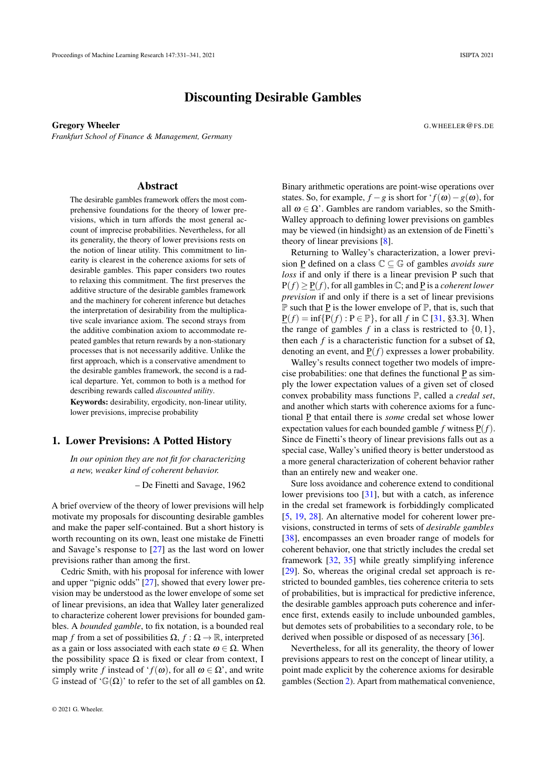# Discounting Desirable Gambles

Gregory Wheeler G.WHEELER **COMMUNICATES** *Frankfurt School of Finance & Management, Germany*

#### Abstract

The desirable gambles framework offers the most comprehensive foundations for the theory of lower previsions, which in turn affords the most general account of imprecise probabilities. Nevertheless, for all its generality, the theory of lower previsions rests on the notion of linear utility. This commitment to linearity is clearest in the coherence axioms for sets of desirable gambles. This paper considers two routes to relaxing this commitment. The first preserves the additive structure of the desirable gambles framework and the machinery for coherent inference but detaches the interpretation of desirability from the multiplicative scale invariance axiom. The second strays from the additive combination axiom to accommodate repeated gambles that return rewards by a non-stationary processes that is not necessarily additive. Unlike the first approach, which is a conservative amendment to the desirable gambles framework, the second is a radical departure. Yet, common to both is a method for describing rewards called *discounted utility*. Keywords: desirability, ergodicity, non-linear utility, lower previsions, imprecise probability

#### 1. Lower Previsions: A Potted History

*In our opinion they are not fit for characterizing a new, weaker kind of coherent behavior.*

– De Finetti and Savage, 1962

A brief overview of the theory of lower previsions will help motivate my proposals for discounting desirable gambles and make the paper self-contained. But a short history is worth recounting on its own, least one mistake de Finetti and Savage's response to [\[27\]](#page-10-0) as the last word on lower previsions rather than among the first.

Cedric Smith, with his proposal for inference with lower and upper "pignic odds" [\[27\]](#page-10-0), showed that every lower prevision may be understood as the lower envelope of some set of linear previsions, an idea that Walley later generalized to characterize coherent lower previsions for bounded gambles. A *bounded gamble*, to fix notation, is a bounded real map *f* from a set of possibilities  $\Omega$ ,  $f : \Omega \to \mathbb{R}$ , interpreted as a gain or loss associated with each state  $\omega \in \Omega$ . When the possibility space  $\Omega$  is fixed or clear from context, I simply write *f* instead of ' $f(\omega)$ , for all  $\omega \in \Omega$ ', and write  $\mathbb G$  instead of ' $\mathbb G(\Omega)$ ' to refer to the set of all gambles on  $\Omega$ .

Binary arithmetic operations are point-wise operations over states. So, for example,  $f - g$  is short for ' $f(\omega) - g(\omega)$ , for all  $\omega \in \Omega'$ . Gambles are random variables, so the Smith-Walley approach to defining lower previsions on gambles may be viewed (in hindsight) as an extension of de Finetti's theory of linear previsions [\[8\]](#page-9-0).

Returning to Walley's characterization, a lower prevision <u>P</u> defined on a class  $\mathbb{C} \subseteq \mathbb{G}$  of gambles *avoids sure loss* if and only if there is a linear prevision P such that  $P(f) \geq P(f)$ , for all gambles in  $\mathbb{C}$ ; and P is a *coherent lower prevision* if and only if there is a set of linear previsions  $\mathbb P$  such that P is the lower envelope of  $\mathbb P$ , that is, such that  $P(f) = \inf\{P(f) : P \in \mathbb{P}\}\$ , for all *f* in  $\mathbb{C}$  [\[31,](#page-10-1) §3.3]. When the range of gambles  $f$  in a class is restricted to  $\{0,1\}$ , then each *f* is a characteristic function for a subset of  $\Omega$ , denoting an event, and  $\underline{P}(f)$  expresses a lower probability.

Walley's results connect together two models of imprecise probabilities: one that defines the functional  $\underline{P}$  as simply the lower expectation values of a given set of closed convex probability mass functions P, called a *credal set*, and another which starts with coherence axioms for a functional P that entail there is *some* credal set whose lower expectation values for each bounded gamble  $f$  witness  $P(f)$ . Since de Finetti's theory of linear previsions falls out as a special case, Walley's unified theory is better understood as a more general characterization of coherent behavior rather than an entirely new and weaker one.

Sure loss avoidance and coherence extend to conditional lower previsions too [\[31\]](#page-10-1), but with a catch, as inference in the credal set framework is forbiddingly complicated [\[5,](#page-9-1) [19,](#page-9-2) [28\]](#page-10-2). An alternative model for coherent lower previsions, constructed in terms of sets of *desirable gambles* [\[38\]](#page-10-3), encompasses an even broader range of models for coherent behavior, one that strictly includes the credal set framework [\[32,](#page-10-4) [35\]](#page-10-5) while greatly simplifying inference [\[29\]](#page-10-6). So, whereas the original credal set approach is restricted to bounded gambles, ties coherence criteria to sets of probabilities, but is impractical for predictive inference, the desirable gambles approach puts coherence and inference first, extends easily to include unbounded gambles, but demotes sets of probabilities to a secondary role, to be derived when possible or disposed of as necessary [\[36\]](#page-10-7).

Nevertheless, for all its generality, the theory of lower previsions appears to rest on the concept of linear utility, a point made explicit by the coherence axioms for desirable gambles (Section [2\)](#page-1-0). Apart from mathematical convenience,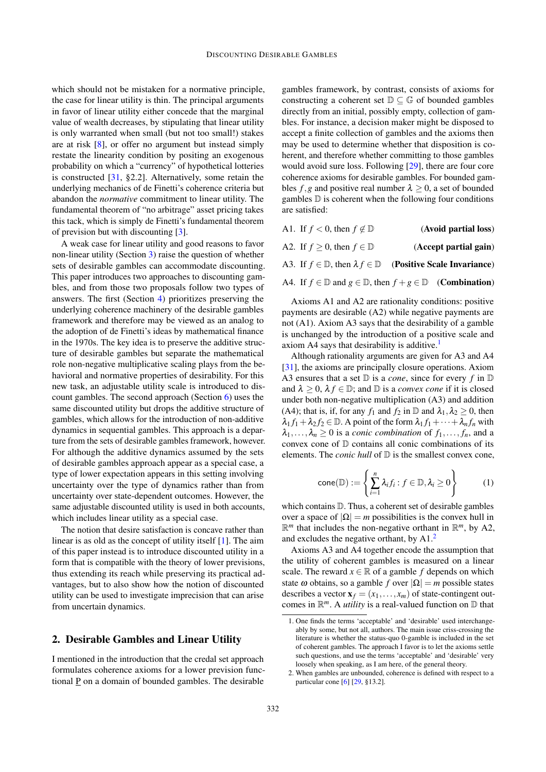which should not be mistaken for a normative principle, the case for linear utility is thin. The principal arguments in favor of linear utility either concede that the marginal value of wealth decreases, by stipulating that linear utility is only warranted when small (but not too small!) stakes are at risk [\[8\]](#page-9-0), or offer no argument but instead simply restate the linearity condition by positing an exogenous probability on which a "currency" of hypothetical lotteries is constructed [\[31,](#page-10-1) §2.2]. Alternatively, some retain the underlying mechanics of de Finetti's coherence criteria but abandon the *normative* commitment to linear utility. The fundamental theorem of "no arbitrage" asset pricing takes this tack, which is simply de Finetti's fundamental theorem of prevision but with discounting [\[3\]](#page-9-3).

A weak case for linear utility and good reasons to favor non-linear utility (Section [3\)](#page-2-0) raise the question of whether sets of desirable gambles can accommodate discounting. This paper introduces two approaches to discounting gambles, and from those two proposals follow two types of answers. The first (Section [4\)](#page-3-0) prioritizes preserving the underlying coherence machinery of the desirable gambles framework and therefore may be viewed as an analog to the adoption of de Finetti's ideas by mathematical finance in the 1970s. The key idea is to preserve the additive structure of desirable gambles but separate the mathematical role non-negative multiplicative scaling plays from the behavioral and normative properties of desirability. For this new task, an adjustable utility scale is introduced to discount gambles. The second approach (Section [6\)](#page-7-0) uses the same discounted utility but drops the additive structure of gambles, which allows for the introduction of non-additive dynamics in sequential gambles. This approach is a departure from the sets of desirable gambles framework, however. For although the additive dynamics assumed by the sets of desirable gambles approach appear as a special case, a type of lower expectation appears in this setting involving uncertainty over the type of dynamics rather than from uncertainty over state-dependent outcomes. However, the same adjustable discounted utility is used in both accounts, which includes linear utility as a special case.

The notion that desire satisfaction is concave rather than linear is as old as the concept of utility itself [\[1\]](#page-9-4). The aim of this paper instead is to introduce discounted utility in a form that is compatible with the theory of lower previsions, thus extending its reach while preserving its practical advantages, but to also show how the notion of discounted utility can be used to investigate imprecision that can arise from uncertain dynamics.

### <span id="page-1-0"></span>2. Desirable Gambles and Linear Utility

I mentioned in the introduction that the credal set approach formulates coherence axioms for a lower prevision functional  $\underline{P}$  on a domain of bounded gambles. The desirable

gambles framework, by contrast, consists of axioms for constructing a coherent set  $\mathbb{D} \subset \mathbb{G}$  of bounded gambles directly from an initial, possibly empty, collection of gambles. For instance, a decision maker might be disposed to accept a finite collection of gambles and the axioms then may be used to determine whether that disposition is coherent, and therefore whether committing to those gambles would avoid sure loss. Following [\[29\]](#page-10-6), there are four core coherence axioms for desirable gambles. For bounded gambles  $f$ , g and positive real number  $\lambda \geq 0$ , a set of bounded gambles  $\mathbb D$  is coherent when the following four conditions are satisfied:

| (Avoid partial loss)                                                                         | A1. If $f < 0$ , then $f \notin \mathbb{D}$ |  |
|----------------------------------------------------------------------------------------------|---------------------------------------------|--|
| (Accept partial gain)                                                                        | A2. If $f \ge 0$ , then $f \in \mathbb{D}$  |  |
| A3. If $f \in \mathbb{D}$ , then $\lambda f \in \mathbb{D}$ (Positive Scale Invariance)      |                                             |  |
| A4. If $f \in \mathbb{D}$ and $g \in \mathbb{D}$ , then $f + g \in \mathbb{D}$ (Combination) |                                             |  |

Axioms A1 and A2 are rationality conditions: positive payments are desirable (A2) while negative payments are not (A1). Axiom A3 says that the desirability of a gamble is unchanged by the introduction of a positive scale and axiom A4 says that desirability is additive.[1](#page-1-1)

Although rationality arguments are given for A3 and A4 [\[31\]](#page-10-1), the axioms are principally closure operations. Axiom A3 ensures that a set D is a *cone*, since for every *f* in D and  $\lambda \geq 0$ ,  $\lambda f \in \mathbb{D}$ ; and  $\mathbb{D}$  is a *convex cone* if it is closed under both non-negative multiplication (A3) and addition (A4); that is, if, for any  $f_1$  and  $f_2$  in  $\mathbb D$  and  $\lambda_1, \lambda_2 \geq 0$ , then  $\lambda_1 f_1 + \lambda_2 f_2 \in \mathbb{D}$ . A point of the form  $\lambda_1 f_1 + \cdots + \lambda_n f_n$  with  $\lambda_1, \ldots, \lambda_n \geq 0$  is a *conic combination* of  $f_1, \ldots, f_n$ , and a convex cone of D contains all conic combinations of its elements. The *conic hull* of  $D$  is the smallest convex cone,

<span id="page-1-3"></span>
$$
cone(\mathbb{D}) := \left\{ \sum_{i=1}^{n} \lambda_i f_i : f \in \mathbb{D}, \lambda_i \ge 0 \right\}
$$
 (1)

which contains  $D$ . Thus, a coherent set of desirable gambles over a space of  $|\Omega| = m$  possibilities is the convex hull in  $\mathbb{R}^m$  that includes the non-negative orthant in  $\mathbb{R}^m$ , by A2, and excludes the negative orthant, by A1.[2](#page-1-2)

Axioms A3 and A4 together encode the assumption that the utility of coherent gambles is measured on a linear scale. The reward  $x \in \mathbb{R}$  of a gamble *f* depends on which state  $\omega$  obtains, so a gamble *f* over  $|\Omega| = m$  possible states describes a vector  $\mathbf{x}_f = (x_1, \dots, x_m)$  of state-contingent outcomes in  $\mathbb{R}^m$ . A *utility* is a real-valued function on  $\mathbb D$  that

<span id="page-1-1"></span><sup>1.</sup> One finds the terms 'acceptable' and 'desirable' used interchangeably by some, but not all, authors. The main issue criss-crossing the literature is whether the status-quo 0-gamble is included in the set of coherent gambles. The approach I favor is to let the axioms settle such questions, and use the terms 'acceptable' and 'desirable' very loosely when speaking, as I am here, of the general theory.

<span id="page-1-2"></span><sup>2.</sup> When gambles are unbounded, coherence is defined with respect to a particular cone [\[6\]](#page-9-5) [\[29,](#page-10-6) §13.2].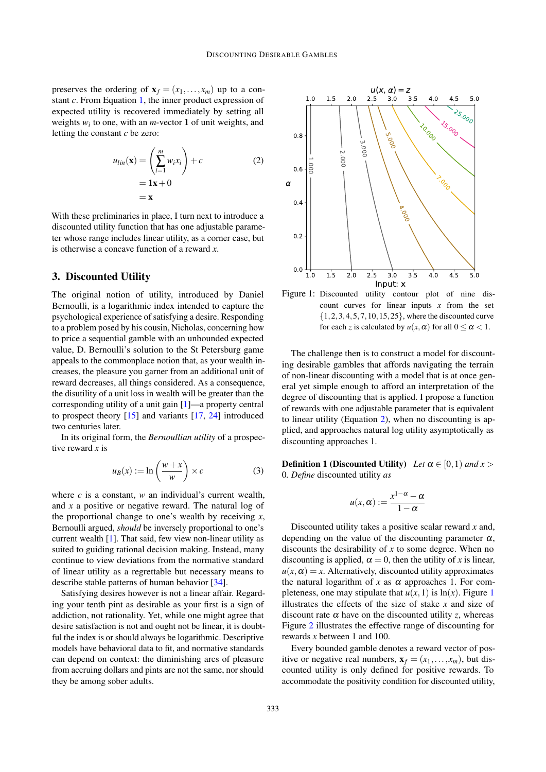preserves the ordering of  $\mathbf{x}_f = (x_1, \dots, x_m)$  up to a constant *c*. From Equation [1,](#page-1-3) the inner product expression of expected utility is recovered immediately by setting all weights  $w_i$  to one, with an *m*-vector 1 of unit weights, and letting the constant *c* be zero:

$$
u_{lin}(\mathbf{x}) = \left(\sum_{i=1}^{m} w_i x_i\right) + c
$$
  
= 1**x** + 0  
= **x** (2)

With these preliminaries in place, I turn next to introduce a discounted utility function that has one adjustable parameter whose range includes linear utility, as a corner case, but is otherwise a concave function of a reward *x*.

### <span id="page-2-0"></span>3. Discounted Utility

The original notion of utility, introduced by Daniel Bernoulli, is a logarithmic index intended to capture the psychological experience of satisfying a desire. Responding to a problem posed by his cousin, Nicholas, concerning how to price a sequential gamble with an unbounded expected value, D. Bernoulli's solution to the St Petersburg game appeals to the commonplace notion that, as your wealth increases, the pleasure you garner from an additional unit of reward decreases, all things considered. As a consequence, the disutility of a unit loss in wealth will be greater than the corresponding utility of a unit gain [\[1\]](#page-9-4)—a property central to prospect theory [\[15\]](#page-9-6) and variants [\[17,](#page-9-7) [24\]](#page-9-8) introduced two centuries later.

In its original form, the *Bernoullian utility* of a prospective reward *x* is

$$
u_B(x) := \ln\left(\frac{w+x}{w}\right) \times c \tag{3}
$$

where *c* is a constant, *w* an individual's current wealth, and *x* a positive or negative reward. The natural log of the proportional change to one's wealth by receiving *x*, Bernoulli argued, *should* be inversely proportional to one's current wealth [\[1\]](#page-9-4). That said, few view non-linear utility as suited to guiding rational decision making. Instead, many continue to view deviations from the normative standard of linear utility as a regrettable but necessary means to describe stable patterns of human behavior [\[34\]](#page-10-8).

Satisfying desires however is not a linear affair. Regarding your tenth pint as desirable as your first is a sign of addiction, not rationality. Yet, while one might agree that desire satisfaction is not and ought not be linear, it is doubtful the index is or should always be logarithmic. Descriptive models have behavioral data to fit, and normative standards can depend on context: the diminishing arcs of pleasure from accruing dollars and pints are not the same, nor should they be among sober adults.

<span id="page-2-1"></span>

<span id="page-2-2"></span>Figure 1: Discounted utility contour plot of nine discount curves for linear inputs *x* from the set {1,2,3,4,5,7,10,15,25}, where the discounted curve for each *z* is calculated by  $u(x, \alpha)$  for all  $0 \le \alpha \le 1$ .

The challenge then is to construct a model for discounting desirable gambles that affords navigating the terrain of non-linear discounting with a model that is at once general yet simple enough to afford an interpretation of the degree of discounting that is applied. I propose a function of rewards with one adjustable parameter that is equivalent to linear utility (Equation [2\)](#page-2-1), when no discounting is applied, and approaches natural log utility asymptotically as discounting approaches 1.

**Definition 1 (Discounted Utility)** *Let*  $\alpha \in [0,1)$  *and*  $x >$ 0*. Define* discounted utility *as*

$$
u(x, \alpha) := \frac{x^{1-\alpha} - \alpha}{1-\alpha}
$$

Discounted utility takes a positive scalar reward *x* and, depending on the value of the discounting parameter  $\alpha$ , discounts the desirability of *x* to some degree. When no discounting is applied,  $\alpha = 0$ , then the utility of x is linear,  $u(x, \alpha) = x$ . Alternatively, discounted utility approximates the natural logarithm of *x* as  $\alpha$  approaches 1. For completeness, one may stipulate that  $u(x,1)$  $u(x,1)$  $u(x,1)$  is  $ln(x)$ . Figure 1 illustrates the effects of the size of stake *x* and size of discount rate  $\alpha$  have on the discounted utility *z*, whereas Figure [2](#page-3-1) illustrates the effective range of discounting for rewards *x* between 1 and 100.

Every bounded gamble denotes a reward vector of positive or negative real numbers,  $\mathbf{x}_f = (x_1, \dots, x_m)$ , but discounted utility is only defined for positive rewards. To accommodate the positivity condition for discounted utility,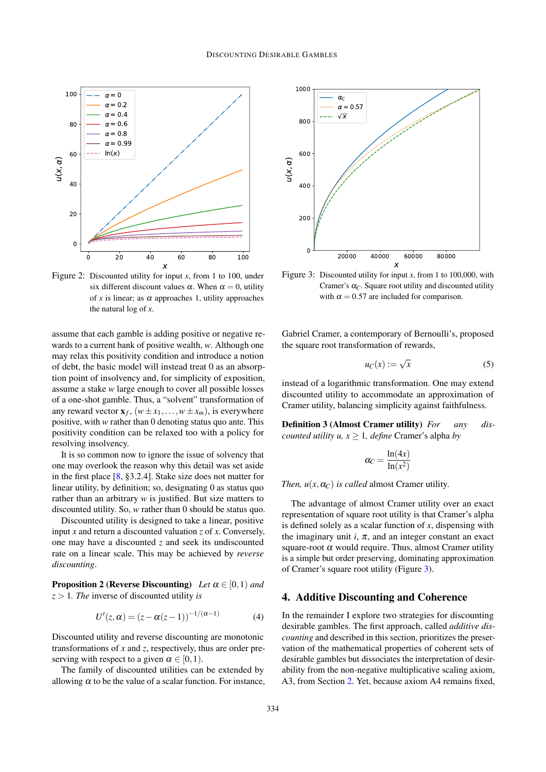

<span id="page-3-1"></span>Figure 2: Discounted utility for input *x*, from 1 to 100, under six different discount values  $\alpha$ . When  $\alpha = 0$ , utility of *x* is linear; as  $\alpha$  approaches 1, utility approaches the natural log of *x*.

assume that each gamble is adding positive or negative rewards to a current bank of positive wealth, *w*. Although one may relax this positivity condition and introduce a notion of debt, the basic model will instead treat 0 as an absorption point of insolvency and, for simplicity of exposition, assume a stake *w* large enough to cover all possible losses of a one-shot gamble. Thus, a "solvent" transformation of any reward vector  $\mathbf{x}_f$ ,  $(w \pm x_1, \ldots, w \pm x_m)$ , is everywhere positive, with *w* rather than 0 denoting status quo ante. This positivity condition can be relaxed too with a policy for resolving insolvency.

It is so common now to ignore the issue of solvency that one may overlook the reason why this detail was set aside in the first place [\[8,](#page-9-0) §3.2.4]. Stake size does not matter for linear utility, by definition; so, designating 0 as status quo rather than an arbitrary *w* is justified. But size matters to discounted utility. So, *w* rather than 0 should be status quo.

Discounted utility is designed to take a linear, positive input *x* and return a discounted valuation *z* of *x*. Conversely, one may have a discounted *z* and seek its undiscounted rate on a linear scale. This may be achieved by *reverse discounting*.

**Proposition 2 (Reverse Discounting)** *Let*  $\alpha \in [0,1)$  *and z* > 1*. The* inverse of discounted utility *is*

$$
U'(z,\alpha) = (z - \alpha(z-1))^{-1/(\alpha-1)}
$$
 (4)

Discounted utility and reverse discounting are monotonic transformations of *x* and *z*, respectively, thus are order preserving with respect to a given  $\alpha \in [0,1)$ .

The family of discounted utilities can be extended by allowing  $\alpha$  to be the value of a scalar function. For instance,



<span id="page-3-2"></span>Figure 3: Discounted utility for input *x*, from 1 to 100,000, with Cramer's  $\alpha_C$ . Square root utility and discounted utility with  $\alpha = 0.57$  are included for comparison.

Gabriel Cramer, a contemporary of Bernoulli's, proposed the square root transformation of rewards,

$$
u_C(x) := \sqrt{x} \tag{5}
$$

instead of a logarithmic transformation. One may extend discounted utility to accommodate an approximation of Cramer utility, balancing simplicity against faithfulness.

Definition 3 (Almost Cramer utility) *For any discounted utility u,*  $x \geq 1$ *, define* Cramer's alpha *by* 

$$
\alpha_C = \frac{\ln(4x)}{\ln(x^2)}
$$

*Then,*  $u(x, \alpha_C)$  *is called* almost Cramer utility.

The advantage of almost Cramer utility over an exact representation of square root utility is that Cramer's alpha is defined solely as a scalar function of *x*, dispensing with the imaginary unit  $i$ ,  $\pi$ , and an integer constant an exact square-root  $\alpha$  would require. Thus, almost Cramer utility is a simple but order preserving, dominating approximation of Cramer's square root utility (Figure [3\)](#page-3-2).

## <span id="page-3-0"></span>4. Additive Discounting and Coherence

In the remainder I explore two strategies for discounting desirable gambles. The first approach, called *additive discounting* and described in this section, prioritizes the preservation of the mathematical properties of coherent sets of desirable gambles but dissociates the interpretation of desirability from the non-negative multiplicative scaling axiom, A3, from Section [2.](#page-1-0) Yet, because axiom A4 remains fixed,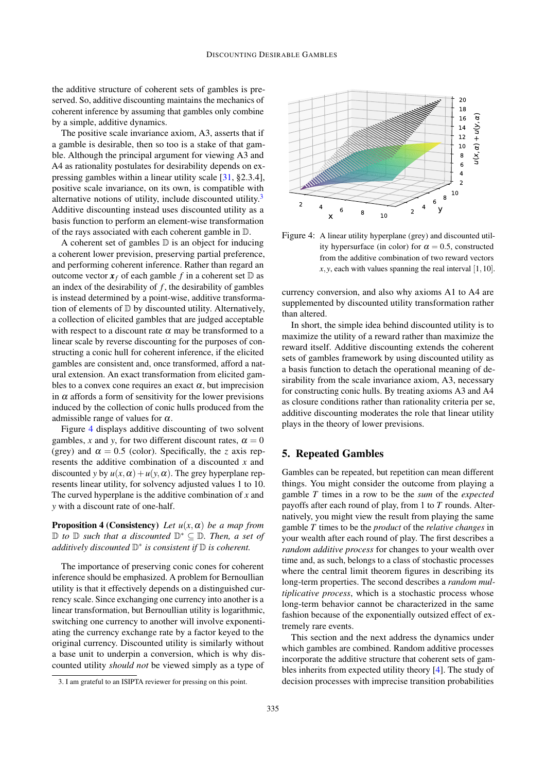the additive structure of coherent sets of gambles is preserved. So, additive discounting maintains the mechanics of coherent inference by assuming that gambles only combine by a simple, additive dynamics.

The positive scale invariance axiom, A3, asserts that if a gamble is desirable, then so too is a stake of that gamble. Although the principal argument for viewing A3 and A4 as rationality postulates for desirability depends on expressing gambles within a linear utility scale [\[31,](#page-10-1) §2.3.4], positive scale invariance, on its own, is compatible with alternative notions of utility, include discounted utility.<sup>[3](#page-4-0)</sup> Additive discounting instead uses discounted utility as a basis function to perform an element-wise transformation of the rays associated with each coherent gamble in D.

A coherent set of gambles  $D$  is an object for inducing a coherent lower prevision, preserving partial preference, and performing coherent inference. Rather than regard an outcome vector  $\mathbf{x}_f$  of each gamble f in a coherent set  $\mathbb{D}$  as an index of the desirability of  $f$ , the desirability of gambles is instead determined by a point-wise, additive transformation of elements of D by discounted utility. Alternatively, a collection of elicited gambles that are judged acceptable with respect to a discount rate  $\alpha$  may be transformed to a linear scale by reverse discounting for the purposes of constructing a conic hull for coherent inference, if the elicited gambles are consistent and, once transformed, afford a natural extension. An exact transformation from elicited gambles to a convex cone requires an exact  $\alpha$ , but imprecision in  $\alpha$  affords a form of sensitivity for the lower previsions induced by the collection of conic hulls produced from the admissible range of values for  $\alpha$ .

Figure [4](#page-4-1) displays additive discounting of two solvent gambles, *x* and *y*, for two different discount rates,  $\alpha = 0$ (grey) and  $\alpha = 0.5$  (color). Specifically, the *z* axis represents the additive combination of a discounted *x* and discounted *y* by  $u(x, \alpha) + u(y, \alpha)$ . The grey hyperplane represents linear utility, for solvency adjusted values 1 to 10. The curved hyperplane is the additive combination of *x* and *y* with a discount rate of one-half.

**Proposition 4 (Consistency)** *Let*  $u(x, \alpha)$  *be a map from* D *to* D *such that a discounted* D <sup>∗</sup> ⊆ D*. Then, a set of additively discounted* D ∗ *is consistent if* D *is coherent.*

The importance of preserving conic cones for coherent inference should be emphasized. A problem for Bernoullian utility is that it effectively depends on a distinguished currency scale. Since exchanging one currency into another is a linear transformation, but Bernoullian utility is logarithmic, switching one currency to another will involve exponentiating the currency exchange rate by a factor keyed to the original currency. Discounted utility is similarly without a base unit to underpin a conversion, which is why discounted utility *should not* be viewed simply as a type of



<span id="page-4-1"></span>Figure 4: A linear utility hyperplane (grey) and discounted utility hypersurface (in color) for  $\alpha = 0.5$ , constructed from the additive combination of two reward vectors  $x, y$ , each with values spanning the real interval  $[1, 10]$ .

currency conversion, and also why axioms A1 to A4 are supplemented by discounted utility transformation rather than altered.

In short, the simple idea behind discounted utility is to maximize the utility of a reward rather than maximize the reward itself. Additive discounting extends the coherent sets of gambles framework by using discounted utility as a basis function to detach the operational meaning of desirability from the scale invariance axiom, A3, necessary for constructing conic hulls. By treating axioms A3 and A4 as closure conditions rather than rationality criteria per se, additive discounting moderates the role that linear utility plays in the theory of lower previsions.

#### 5. Repeated Gambles

Gambles can be repeated, but repetition can mean different things. You might consider the outcome from playing a gamble *T* times in a row to be the *sum* of the *expected* payoffs after each round of play, from 1 to *T* rounds. Alternatively, you might view the result from playing the same gamble *T* times to be the *product* of the *relative changes* in your wealth after each round of play. The first describes a *random additive process* for changes to your wealth over time and, as such, belongs to a class of stochastic processes where the central limit theorem figures in describing its long-term properties. The second describes a *random multiplicative process*, which is a stochastic process whose long-term behavior cannot be characterized in the same fashion because of the exponentially outsized effect of extremely rare events.

This section and the next address the dynamics under which gambles are combined. Random additive processes incorporate the additive structure that coherent sets of gambles inherits from expected utility theory [\[4\]](#page-9-9). The study of decision processes with imprecise transition probabilities

<span id="page-4-0"></span><sup>3.</sup> I am grateful to an ISIPTA reviewer for pressing on this point.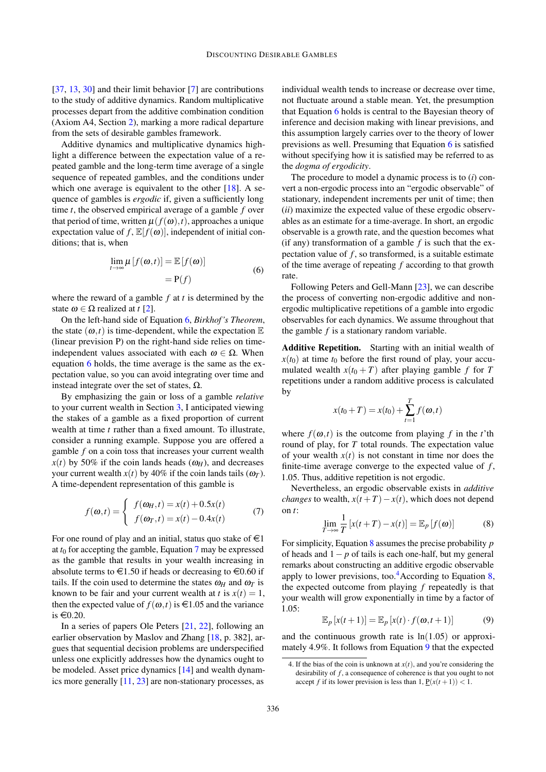[\[37,](#page-10-9) [13,](#page-9-10) [30\]](#page-10-10) and their limit behavior [\[7\]](#page-9-11) are contributions to the study of additive dynamics. Random multiplicative processes depart from the additive combination condition (Axiom A4, Section [2\)](#page-1-0), marking a more radical departure from the sets of desirable gambles framework.

Additive dynamics and multiplicative dynamics highlight a difference between the expectation value of a repeated gamble and the long-term time average of a single sequence of repeated gambles, and the conditions under which one average is equivalent to the other [\[18\]](#page-9-12). A sequence of gambles is *ergodic* if, given a sufficiently long time *t*, the observed empirical average of a gamble *f* over that period of time, written  $\mu(f(\omega),t)$ , approaches a unique expectation value of  $f$ ,  $\mathbb{E}[f(\omega)]$ , independent of initial conditions; that is, when

$$
\lim_{t \to \infty} \mu [f(\omega, t)] = \mathbb{E} [f(\omega)]
$$
  
= P(f) (6)

<span id="page-5-0"></span>where the reward of a gamble *f* at *t* is determined by the state  $\omega \in \Omega$  realized at *t* [\[2\]](#page-9-13).

On the left-hand side of Equation [6,](#page-5-0) *Birkhof 's Theorem*, the state  $(\omega, t)$  is time-dependent, while the expectation  $\mathbb E$ (linear prevision P) on the right-hand side relies on timeindependent values associated with each  $\omega \in \Omega$ . When equation [6](#page-5-0) holds, the time average is the same as the expectation value, so you can avoid integrating over time and instead integrate over the set of states,  $Ω$ .

By emphasizing the gain or loss of a gamble *relative* to your current wealth in Section [3,](#page-2-0) I anticipated viewing the stakes of a gamble as a fixed proportion of current wealth at time *t* rather than a fixed amount. To illustrate, consider a running example. Suppose you are offered a gamble *f* on a coin toss that increases your current wealth  $x(t)$  by 50% if the coin lands heads  $(\omega_H)$ , and decreases your current wealth  $x(t)$  by 40% if the coin lands tails  $(\omega_T)$ . A time-dependent representation of this gamble is

<span id="page-5-1"></span>
$$
f(\boldsymbol{\omega},t) = \begin{cases} f(\boldsymbol{\omega}_H,t) = x(t) + 0.5x(t) \\ f(\boldsymbol{\omega}_T,t) = x(t) - 0.4x(t) \end{cases}
$$
 (7)

For one round of play and an initial, status quo stake of  $\in$ 1 at  $t_0$  for accepting the gamble, Equation [7](#page-5-1) may be expressed as the gamble that results in your wealth increasing in absolute terms to  $\text{\large} \in 1.50$  if heads or decreasing to  $\text{\large} \in 0.60$  if tails. If the coin used to determine the states  $\omega_H$  and  $\omega_T$  is known to be fair and your current wealth at *t* is  $x(t) = 1$ , then the expected value of  $f(\omega, t)$  is  $\in$ 1.05 and the variance is  $\in 0.20$ .

In a series of papers Ole Peters [\[21,](#page-9-14) [22\]](#page-9-15), following an earlier observation by Maslov and Zhang [\[18,](#page-9-12) p. 382], argues that sequential decision problems are underspecified unless one explicitly addresses how the dynamics ought to be modeled. Asset price dynamics [\[14\]](#page-9-16) and wealth dynamics more generally [\[11,](#page-9-17) [23\]](#page-9-18) are non-stationary processes, as

individual wealth tends to increase or decrease over time, not fluctuate around a stable mean. Yet, the presumption that Equation [6](#page-5-0) holds is central to the Bayesian theory of inference and decision making with linear previsions, and this assumption largely carries over to the theory of lower previsions as well. Presuming that Equation [6](#page-5-0) is satisfied without specifying how it is satisfied may be referred to as the *dogma of ergodicity*.

The procedure to model a dynamic process is to (*i*) convert a non-ergodic process into an "ergodic observable" of stationary, independent increments per unit of time; then (*ii*) maximize the expected value of these ergodic observables as an estimate for a time-average. In short, an ergodic observable is a growth rate, and the question becomes what (if any) transformation of a gamble  $f$  is such that the expectation value of  $f$ , so transformed, is a suitable estimate of the time average of repeating *f* according to that growth rate.

Following Peters and Gell-Mann [\[23\]](#page-9-18), we can describe the process of converting non-ergodic additive and nonergodic multiplicative repetitions of a gamble into ergodic observables for each dynamics. We assume throughout that the gamble *f* is a stationary random variable.

Additive Repetition. Starting with an initial wealth of  $x(t_0)$  at time  $t_0$  before the first round of play, your accumulated wealth  $x(t_0 + T)$  after playing gamble f for T repetitions under a random additive process is calculated by

$$
x(t_0 + T) = x(t_0) + \sum_{t=1}^{T} f(\omega, t)
$$

where  $f(\omega, t)$  is the outcome from playing f in the t'th round of play, for *T* total rounds. The expectation value of your wealth  $x(t)$  is not constant in time nor does the finite-time average converge to the expected value of *f* , 1.05. Thus, additive repetition is not ergodic.

Nevertheless, an ergodic observable exists in *additive changes* to wealth,  $x(t+T) - x(t)$ , which does not depend on *t*:

<span id="page-5-2"></span>
$$
\lim_{T \to \infty} \frac{1}{T} \left[ x(t+T) - x(t) \right] = \mathbb{E}_p \left[ f(\boldsymbol{\omega}) \right] \tag{8}
$$

For simplicity, Equation [8](#page-5-2) assumes the precise probability *p* of heads and 1− *p* of tails is each one-half, but my general remarks about constructing an additive ergodic observable apply to lower previsions, too.<sup>[4](#page-5-3)</sup>According to Equation [8,](#page-5-2) the expected outcome from playing *f* repeatedly is that your wealth will grow exponentially in time by a factor of  $1.05$ 

<span id="page-5-4"></span>
$$
\mathbb{E}_p\left[x(t+1)\right] = \mathbb{E}_p\left[x(t)\cdot f(\boldsymbol{\omega}, t+1)\right] \tag{9}
$$

and the continuous growth rate is  $ln(1.05)$  or approximately 4.9%. It follows from Equation [9](#page-5-4) that the expected

<span id="page-5-3"></span><sup>4.</sup> If the bias of the coin is unknown at  $x(t)$ , and you're considering the desirability of *f* , a consequence of coherence is that you ought to not accept *f* if its lower prevision is less than  $1, P(x(t+1)) < 1$ .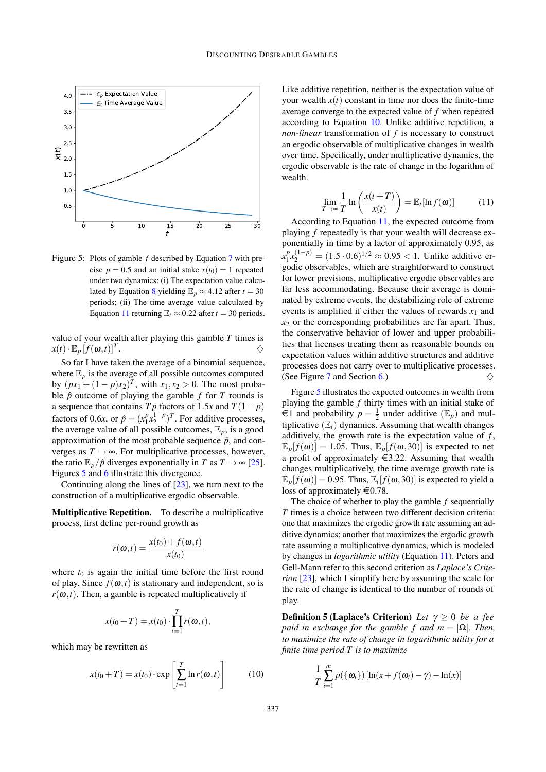

<span id="page-6-1"></span>Figure 5: Plots of gamble *f* described by Equation [7](#page-5-1) with precise  $p = 0.5$  and an initial stake  $x(t_0) = 1$  repeated under two dynamics: (i) The expectation value calcu-lated by Equation [8](#page-5-2) yielding  $\mathbb{E}_p \approx 4.12$  after  $t = 30$ periods; (ii) The time average value calculated by Equation [11](#page-6-0) returning  $\mathbb{E}_t \approx 0.22$  after  $t = 30$  periods.

value of your wealth after playing this gamble *T* times is  $x(t) \cdot \mathbb{E}_p [f(\boldsymbol{\omega},t)]^T$ . . And the contract of  $\Diamond$ 

So far I have taken the average of a binomial sequence, where  $\mathbb{E}_p$  is the average of all possible outcomes computed by  $(px_1 + (1 - p)x_2)^T$ , with  $x_1, x_2 > 0$ . The most probable  $\hat{p}$  outcome of playing the gamble  $f$  for  $T$  rounds is a sequence that contains  $Tp$  factors of 1.5 $x$  and  $T(1-p)$ factors of 0.6*x*, or  $\hat{p} = (x_1^p)$  $\frac{p}{1}x_2^{1-p}$  $\binom{1-p}{2}$ . For additive processes, the average value of all possible outcomes,  $\mathbb{E}_p$ , is a good approximation of the most probable sequence  $\hat{p}$ , and converges as  $T \rightarrow \infty$ . For multiplicative processes, however, the ratio  $\mathbb{E}_p/\hat{p}$  diverges exponentially in *T* as  $T \to \infty$  [\[25\]](#page-9-19). Figures [5](#page-6-1) and [6](#page-7-1) illustrate this divergence.

Continuing along the lines of [\[23\]](#page-9-18), we turn next to the construction of a multiplicative ergodic observable.

Multiplicative Repetition. To describe a multiplicative process, first define per-round growth as

$$
r(\boldsymbol{\omega},t) = \frac{x(t_0) + f(\boldsymbol{\omega},t)}{x(t_0)}
$$

where  $t_0$  is again the initial time before the first round of play. Since  $f(\omega, t)$  is stationary and independent, so is  $r(\omega, t)$ . Then, a gamble is repeated multiplicatively if

$$
x(t_0+T) = x(t_0) \cdot \prod_{t=1}^T r(\omega, t),
$$

which may be rewritten as

<span id="page-6-2"></span>
$$
x(t_0+T) = x(t_0) \cdot \exp\left[\sum_{t=1}^T \ln r(\omega, t)\right]
$$
 (10)

Like additive repetition, neither is the expectation value of your wealth  $x(t)$  constant in time nor does the finite-time average converge to the expected value of *f* when repeated according to Equation [10.](#page-6-2) Unlike additive repetition, a *non-linear* transformation of *f* is necessary to construct an ergodic observable of multiplicative changes in wealth over time. Specifically, under multiplicative dynamics, the ergodic observable is the rate of change in the logarithm of wealth.

<span id="page-6-0"></span>
$$
\lim_{T \to \infty} \frac{1}{T} \ln \left( \frac{x(t+T)}{x(t)} \right) = \mathbb{E}_t[\ln f(\boldsymbol{\omega})]
$$
(11)

According to Equation [11,](#page-6-0) the expected outcome from playing *f* repeatedly is that your wealth will decrease exponentially in time by a factor of approximately 0.95, as  $x_1^p$  $\binom{p}{1}x_2^{(1-p)} = (1.5 \cdot 0.6)^{1/2} \approx 0.95 < 1$ . Unlike additive ergodic observables, which are straightforward to construct for lower previsions, multiplicative ergodic observables are far less accommodating. Because their average is dominated by extreme events, the destabilizing role of extreme events is amplified if either the values of rewards  $x_1$  and  $x_2$  or the corresponding probabilities are far apart. Thus, the conservative behavior of lower and upper probabilities that licenses treating them as reasonable bounds on expectation values within additive structures and additive processes does not carry over to multiplicative processes. (See Figure [7](#page-8-0) and Section [6.](#page-7-0))  $\Diamond$ 

Figure [5](#page-6-1) illustrates the expected outcomes in wealth from playing the gamble *f* thirty times with an initial stake of  $\widehat{\in}$ 1 and probability  $p = \frac{1}{2}$  under additive  $(\mathbb{E}_p)$  and multiplicative  $(\mathbb{E}_t)$  dynamics. Assuming that wealth changes additively, the growth rate is the expectation value of *f* ,  $\mathbb{E}_p[f(\omega)] = 1.05$ . Thus,  $\mathbb{E}_p[f(\omega,30)]$  is expected to net a profit of approximately  $\in$ 3.22. Assuming that wealth changes multiplicatively, the time average growth rate is  $\mathbb{E}_p[f(\omega)] = 0.95$ . Thus,  $\mathbb{E}_t[f(\omega,30)]$  is expected to yield a loss of approximately  $\in 0.78$ .

The choice of whether to play the gamble *f* sequentially *T* times is a choice between two different decision criteria: one that maximizes the ergodic growth rate assuming an additive dynamics; another that maximizes the ergodic growth rate assuming a multiplicative dynamics, which is modeled by changes in *logarithmic utility* (Equation [11\)](#page-6-0). Peters and Gell-Mann refer to this second criterion as *Laplace's Criterion* [\[23\]](#page-9-18), which I simplify here by assuming the scale for the rate of change is identical to the number of rounds of play.

Definition 5 (Laplace's Criterion) *Let* γ ≥ 0 *be a fee paid in exchange for the gamble f and*  $m = |\Omega|$ *. Then, to maximize the rate of change in logarithmic utility for a finite time period T is to maximize*

$$
\frac{1}{T}\sum_{i=1}^m p(\{\omega_i\})[\ln(x+f(\omega_i)-\gamma)-\ln(x)]
$$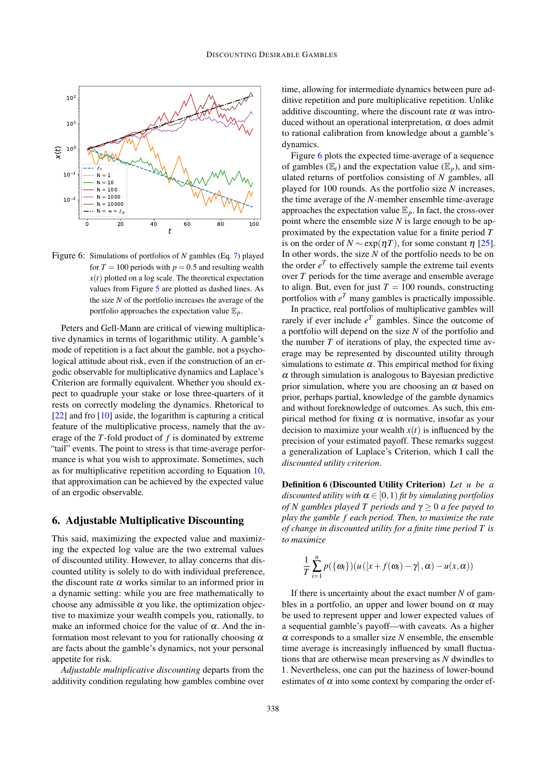

<span id="page-7-1"></span>Figure 6: Simulations of portfolios of *N* gambles (Eq. [7\)](#page-5-1) played for  $T = 100$  periods with  $p = 0.5$  and resulting wealth  $x(t)$  plotted on a log scale. The theoretical expectation values from Figure [5](#page-6-1) are plotted as dashed lines. As the size *N* of the portfolio increases the average of the portfolio approaches the expectation value  $\mathbb{E}_p$ .

Peters and Gell-Mann are critical of viewing multiplicative dynamics in terms of logarithmic utility. A gamble's mode of repetition is a fact about the gamble, not a psychological attitude about risk, even if the construction of an ergodic observable for multiplicative dynamics and Laplace's Criterion are formally equivalent. Whether you should expect to quadruple your stake or lose three-quarters of it rests on correctly modeling the dynamics. Rhetorical to [\[22\]](#page-9-15) and fro [\[10\]](#page-9-20) aside, the logarithm is capturing a critical feature of the multiplicative process, namely that the average of the *T*-fold product of *f* is dominated by extreme "tail" events. The point to stress is that time-average performance is what you wish to approximate. Sometimes, such as for multiplicative repetition according to Equation [10,](#page-6-2) that approximation can be achieved by the expected value of an ergodic observable.

## <span id="page-7-0"></span>6. Adjustable Multiplicative Discounting

This said, maximizing the expected value and maximizing the expected log value are the two extremal values of discounted utility. However, to allay concerns that discounted utility is solely to do with individual preference, the discount rate  $\alpha$  works similar to an informed prior in a dynamic setting: while you are free mathematically to choose any admissible  $\alpha$  you like, the optimization objective to maximize your wealth compels you, rationally, to make an informed choice for the value of  $\alpha$ . And the information most relevant to you for rationally choosing  $\alpha$ are facts about the gamble's dynamics, not your personal appetite for risk.

*Adjustable multiplicative discounting* departs from the additivity condition regulating how gambles combine over

time, allowing for intermediate dynamics between pure additive repetition and pure multiplicative repetition. Unlike additive discounting, where the discount rate  $\alpha$  was introduced without an operational interpretation,  $\alpha$  does admit to rational calibration from knowledge about a gamble's dynamics.

Figure [6](#page-7-1) plots the expected time-average of a sequence of gambles  $(\mathbb{E}_t)$  and the expectation value  $(\mathbb{E}_n)$ , and simulated returns of portfolios consisting of *N* gambles, all played for 100 rounds. As the portfolio size *N* increases, the time average of the *N*-member ensemble time-average approaches the expectation value  $\mathbb{E}_p$ . In fact, the cross-over point where the ensemble size *N* is large enough to be approximated by the expectation value for a finite period *T* is on the order of *N*  $\sim$  exp( $\eta$ *T*), for some constant  $\eta$  [\[25\]](#page-9-19). In other words, the size *N* of the portfolio needs to be on the order  $e^T$  to effectively sample the extreme tail events over *T* periods for the time average and ensemble average to align. But, even for just  $T = 100$  rounds, constructing portfolios with  $e^T$  many gambles is practically impossible.

In practice, real portfolios of multiplicative gambles will rarely if ever include  $e^T$  gambles. Since the outcome of a portfolio will depend on the size *N* of the portfolio and the number *T* of iterations of play, the expected time average may be represented by discounted utility through simulations to estimate  $\alpha$ . This empirical method for fixing  $\alpha$  through simulation is analogous to Bayesian predictive prior simulation, where you are choosing an  $\alpha$  based on prior, perhaps partial, knowledge of the gamble dynamics and without foreknowledge of outcomes. As such, this empirical method for fixing  $\alpha$  is normative, insofar as your decision to maximize your wealth  $x(t)$  is influenced by the precision of your estimated payoff. These remarks suggest a generalization of Laplace's Criterion, which I call the *discounted utility criterion*.

Definition 6 (Discounted Utility Criterion) *Let u be a discounted utility with*  $\alpha \in [0,1)$  *fit by simulating portfolios of N gambles played T periods and* γ ≥ 0 *a fee payed to play the gamble f each period. Then, to maximize the rate of change in discounted utility for a finite time period T is to maximize*

$$
\frac{1}{T}\sum_{i=1}^n p(\{\omega_i\})(u([x+f(\omega_i)-\gamma],\alpha)-u(x,\alpha))
$$

If there is uncertainty about the exact number *N* of gambles in a portfolio, an upper and lower bound on  $\alpha$  may be used to represent upper and lower expected values of a sequential gamble's payoff—with caveats. As a higher  $\alpha$  corresponds to a smaller size *N* ensemble, the ensemble time average is increasingly influenced by small fluctuations that are otherwise mean preserving as *N* dwindles to 1. Nevertheless, one can put the haziness of lower-bound estimates of  $\alpha$  into some context by comparing the order ef-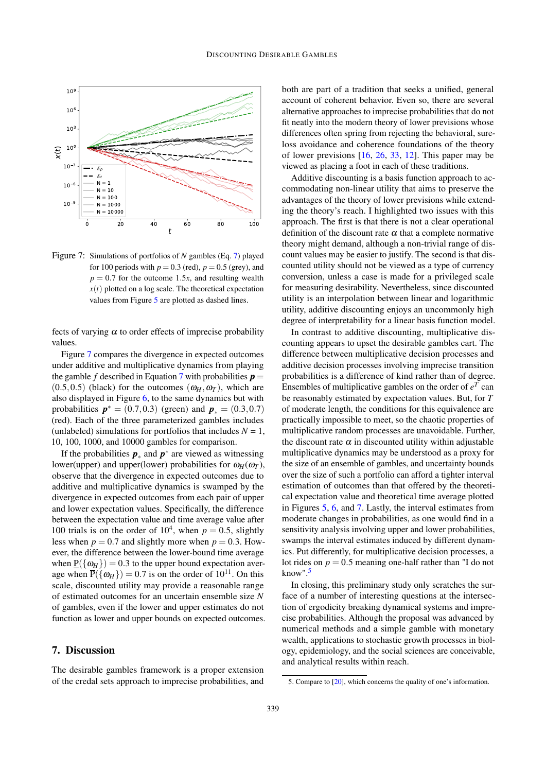

<span id="page-8-0"></span>Figure 7: Simulations of portfolios of *N* gambles (Eq. [7\)](#page-5-1) played for 100 periods with  $p = 0.3$  (red),  $p = 0.5$  (grey), and  $p = 0.7$  for the outcome 1.5*x*, and resulting wealth  $x(t)$  plotted on a log scale. The theoretical expectation values from Figure [5](#page-6-1) are plotted as dashed lines.

fects of varying  $\alpha$  to order effects of imprecise probability values.

Figure [7](#page-8-0) compares the divergence in expected outcomes under additive and multiplicative dynamics from playing the gamble *f* described in Equation [7](#page-5-1) with probabilities  $p =$  $(0.5, 0.5)$  (black) for the outcomes  $(\omega_H, \omega_T)$ , which are also displayed in Figure [6,](#page-7-1) to the same dynamics but with probabilities  $p^* = (0.7, 0.3)$  (green) and  $p_* = (0.3, 0.7)$ (red). Each of the three parameterized gambles includes (unlabeled) simulations for portfolios that includes  $N = 1$ , 10, 100, 1000, and 10000 gambles for comparison.

If the probabilities  $p_*$  and  $p^*$  are viewed as witnessing lower(upper) and upper(lower) probabilities for  $\omega_H(\omega_T)$ , observe that the divergence in expected outcomes due to additive and multiplicative dynamics is swamped by the divergence in expected outcomes from each pair of upper and lower expectation values. Specifically, the difference between the expectation value and time average value after 100 trials is on the order of  $10^4$ , when  $p = 0.5$ , slightly less when  $p = 0.7$  and slightly more when  $p = 0.3$ . However, the difference between the lower-bound time average when  $P({\omega_H}) = 0.3$  to the upper bound expectation average when  $\overline{P}(\{\omega_H\}) = 0.7$  is on the order of  $10^{11}$ . On this scale, discounted utility may provide a reasonable range of estimated outcomes for an uncertain ensemble size *N* of gambles, even if the lower and upper estimates do not function as lower and upper bounds on expected outcomes.

#### 7. Discussion

The desirable gambles framework is a proper extension of the credal sets approach to imprecise probabilities, and both are part of a tradition that seeks a unified, general account of coherent behavior. Even so, there are several alternative approaches to imprecise probabilities that do not fit neatly into the modern theory of lower previsions whose differences often spring from rejecting the behavioral, sureloss avoidance and coherence foundations of the theory of lower previsions [\[16,](#page-9-21) [26,](#page-9-22) [33,](#page-10-11) [12\]](#page-9-23). This paper may be viewed as placing a foot in each of these traditions.

Additive discounting is a basis function approach to accommodating non-linear utility that aims to preserve the advantages of the theory of lower previsions while extending the theory's reach. I highlighted two issues with this approach. The first is that there is not a clear operational definition of the discount rate  $\alpha$  that a complete normative theory might demand, although a non-trivial range of discount values may be easier to justify. The second is that discounted utility should not be viewed as a type of currency conversion, unless a case is made for a privileged scale for measuring desirability. Nevertheless, since discounted utility is an interpolation between linear and logarithmic utility, additive discounting enjoys an uncommonly high degree of interpretability for a linear basis function model.

In contrast to additive discounting, multiplicative discounting appears to upset the desirable gambles cart. The difference between multiplicative decision processes and additive decision processes involving imprecise transition probabilities is a difference of kind rather than of degree. Ensembles of multiplicative gambles on the order of  $e^T$  can be reasonably estimated by expectation values. But, for *T* of moderate length, the conditions for this equivalence are practically impossible to meet, so the chaotic properties of multiplicative random processes are unavoidable. Further, the discount rate  $\alpha$  in discounted utility within adjustable multiplicative dynamics may be understood as a proxy for the size of an ensemble of gambles, and uncertainty bounds over the size of such a portfolio can afford a tighter interval estimation of outcomes than that offered by the theoretical expectation value and theoretical time average plotted in Figures [5,](#page-6-1) [6,](#page-7-1) and [7.](#page-8-0) Lastly, the interval estimates from moderate changes in probabilities, as one would find in a sensitivity analysis involving upper and lower probabilities, swamps the interval estimates induced by different dynamics. Put differently, for multiplicative decision processes, a lot rides on  $p = 0.5$  meaning one-half rather than "I do not know". $5$ 

In closing, this preliminary study only scratches the surface of a number of interesting questions at the intersection of ergodicity breaking dynamical systems and imprecise probabilities. Although the proposal was advanced by numerical methods and a simple gamble with monetary wealth, applications to stochastic growth processes in biology, epidemiology, and the social sciences are conceivable, and analytical results within reach.

<span id="page-8-1"></span><sup>5.</sup> Compare to [\[20\]](#page-9-24), which concerns the quality of one's information.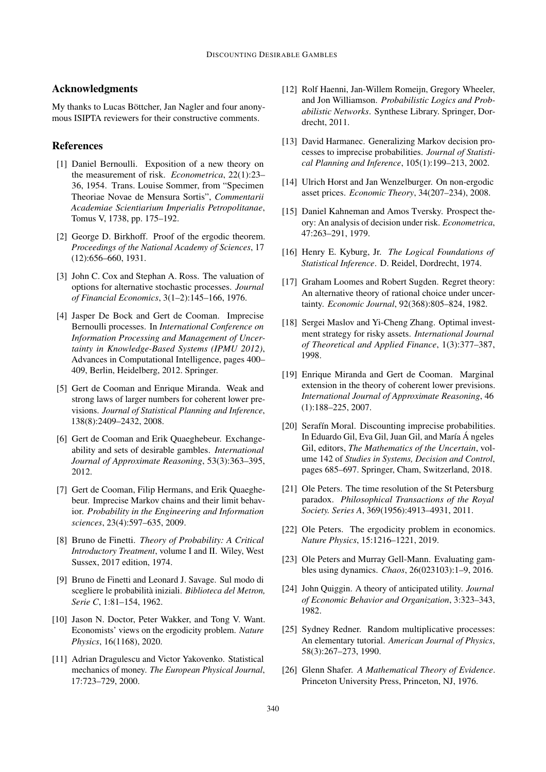## Acknowledgments

My thanks to Lucas Böttcher, Jan Nagler and four anonymous ISIPTA reviewers for their constructive comments.

#### References

- <span id="page-9-4"></span>[1] Daniel Bernoulli. Exposition of a new theory on the measurement of risk. *Econometrica*, 22(1):23– 36, 1954. Trans. Louise Sommer, from "Specimen Theoriae Novae de Mensura Sortis", *Commentarii Academiae Scientiarium Imperialis Petropolitanae*, Tomus V, 1738, pp. 175–192.
- <span id="page-9-13"></span>[2] George D. Birkhoff. Proof of the ergodic theorem. *Proceedings of the National Academy of Sciences*, 17 (12):656–660, 1931.
- <span id="page-9-3"></span>[3] John C. Cox and Stephan A. Ross. The valuation of options for alternative stochastic processes. *Journal of Financial Economics*, 3(1–2):145–166, 1976.
- <span id="page-9-9"></span>[4] Jasper De Bock and Gert de Cooman. Imprecise Bernoulli processes. In *International Conference on Information Processing and Management of Uncertainty in Knowledge-Based Systems (IPMU 2012)*, Advances in Computational Intelligence, pages 400– 409, Berlin, Heidelberg, 2012. Springer.
- <span id="page-9-1"></span>[5] Gert de Cooman and Enrique Miranda. Weak and strong laws of larger numbers for coherent lower previsions. *Journal of Statistical Planning and Inference*, 138(8):2409–2432, 2008.
- <span id="page-9-5"></span>[6] Gert de Cooman and Erik Quaeghebeur. Exchangeability and sets of desirable gambles. *International Journal of Approximate Reasoning*, 53(3):363–395, 2012.
- <span id="page-9-11"></span>[7] Gert de Cooman, Filip Hermans, and Erik Quaeghebeur. Imprecise Markov chains and their limit behavior. *Probability in the Engineering and Information sciences*, 23(4):597–635, 2009.
- <span id="page-9-0"></span>[8] Bruno de Finetti. *Theory of Probability: A Critical Introductory Treatment*, volume I and II. Wiley, West Sussex, 2017 edition, 1974.
- [9] Bruno de Finetti and Leonard J. Savage. Sul modo di scegliere le probabilità iniziali. *Biblioteca del Metron, Serie C*, 1:81–154, 1962.
- <span id="page-9-20"></span>[10] Jason N. Doctor, Peter Wakker, and Tong V. Want. Economists' views on the ergodicity problem. *Nature Physics*, 16(1168), 2020.
- <span id="page-9-17"></span>[11] Adrian Dragulescu and Victor Yakovenko. Statistical mechanics of money. *The European Physical Journal*, 17:723–729, 2000.
- <span id="page-9-23"></span>[12] Rolf Haenni, Jan-Willem Romeiin, Gregory Wheeler, and Jon Williamson. *Probabilistic Logics and Probabilistic Networks*. Synthese Library. Springer, Dordrecht, 2011.
- <span id="page-9-10"></span>[13] David Harmanec. Generalizing Markov decision processes to imprecise probabilities. *Journal of Statistical Planning and Inference*, 105(1):199–213, 2002.
- <span id="page-9-16"></span>[14] Ulrich Horst and Jan Wenzelburger. On non-ergodic asset prices. *Economic Theory*, 34(207–234), 2008.
- <span id="page-9-6"></span>[15] Daniel Kahneman and Amos Tversky. Prospect theory: An analysis of decision under risk. *Econometrica*, 47:263–291, 1979.
- <span id="page-9-21"></span>[16] Henry E. Kyburg, Jr. *The Logical Foundations of Statistical Inference*. D. Reidel, Dordrecht, 1974.
- <span id="page-9-7"></span>[17] Graham Loomes and Robert Sugden. Regret theory: An alternative theory of rational choice under uncertainty. *Economic Journal*, 92(368):805–824, 1982.
- <span id="page-9-12"></span>[18] Sergei Maslov and Yi-Cheng Zhang. Optimal investment strategy for risky assets. *International Journal of Theoretical and Applied Finance*, 1(3):377–387, 1998.
- <span id="page-9-2"></span>[19] Enrique Miranda and Gert de Cooman. Marginal extension in the theory of coherent lower previsions. *International Journal of Approximate Reasoning*, 46 (1):188–225, 2007.
- <span id="page-9-24"></span>[20] Serafín Moral. Discounting imprecise probabilities. In Eduardo Gil, Eva Gil, Juan Gil, and María Á ngeles Gil, editors, *The Mathematics of the Uncertain*, volume 142 of *Studies in Systems, Decision and Control*, pages 685–697. Springer, Cham, Switzerland, 2018.
- <span id="page-9-14"></span>[21] Ole Peters. The time resolution of the St Petersburg paradox. *Philosophical Transactions of the Royal Society. Series A*, 369(1956):4913–4931, 2011.
- <span id="page-9-15"></span>[22] Ole Peters. The ergodicity problem in economics. *Nature Physics*, 15:1216–1221, 2019.
- <span id="page-9-18"></span>[23] Ole Peters and Murray Gell-Mann. Evaluating gambles using dynamics. *Chaos*, 26(023103):1–9, 2016.
- <span id="page-9-8"></span>[24] John Quiggin. A theory of anticipated utility. *Journal of Economic Behavior and Organization*, 3:323–343, 1982.
- <span id="page-9-19"></span>[25] Sydney Redner. Random multiplicative processes: An elementary tutorial. *American Journal of Physics*, 58(3):267–273, 1990.
- <span id="page-9-22"></span>[26] Glenn Shafer. *A Mathematical Theory of Evidence*. Princeton University Press, Princeton, NJ, 1976.